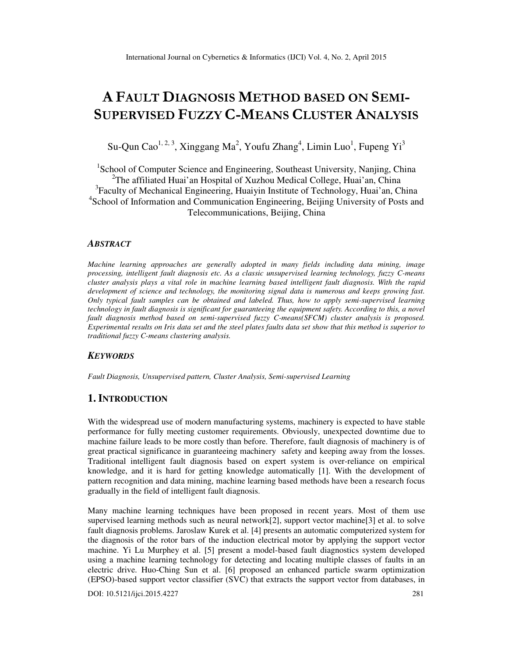# **A FAULT DIAGNOSIS METHOD BASED ON SEMI-SUPERVISED FUZZY C-MEANS CLUSTER ANALYSIS**

Su-Qun Cao<sup>1, 2, 3</sup>, Xinggang Ma<sup>2</sup>, Youfu Zhang<sup>4</sup>, Limin Luo<sup>1</sup>, Fupeng Yi<sup>3</sup>

<sup>1</sup>School of Computer Science and Engineering, Southeast University, Nanjing, China <sup>2</sup>The affiliated Huai'an Hospital of Xuzhou Medical College, Huai'an, China <sup>3</sup>Faculty of Mechanical Engineering, Huaiyin Institute of Technology, Huai'an, China 4 School of Information and Communication Engineering, Beijing University of Posts and Telecommunications, Beijing, China

## *ABSTRACT*

*Machine learning approaches are generally adopted in many fields including data mining, image processing, intelligent fault diagnosis etc. As a classic unsupervised learning technology, fuzzy C-means cluster analysis plays a vital role in machine learning based intelligent fault diagnosis. With the rapid development of science and technology, the monitoring signal data is numerous and keeps growing fast. Only typical fault samples can be obtained and labeled. Thus, how to apply semi-supervised learning technology in fault diagnosis is significant for guaranteeing the equipment safety. According to this, a novel fault diagnosis method based on semi-supervised fuzzy C-means(SFCM) cluster analysis is proposed. Experimental results on Iris data set and the steel plates faults data set show that this method is superior to traditional fuzzy C-means clustering analysis.* 

## *KEYWORDS*

*Fault Diagnosis, Unsupervised pattern, Cluster Analysis, Semi-supervised Learning* 

# **1. INTRODUCTION**

With the widespread use of modern manufacturing systems, machinery is expected to have stable performance for fully meeting customer requirements. Obviously, unexpected downtime due to machine failure leads to be more costly than before. Therefore, fault diagnosis of machinery is of great practical significance in guaranteeing machinery safety and keeping away from the losses. Traditional intelligent fault diagnosis based on expert system is over-reliance on empirical knowledge, and it is hard for getting knowledge automatically [1]. With the development of pattern recognition and data mining, machine learning based methods have been a research focus gradually in the field of intelligent fault diagnosis.

Many machine learning techniques have been proposed in recent years. Most of them use supervised learning methods such as neural network[2], support vector machine[3] et al. to solve fault diagnosis problems. Jaroslaw Kurek et al. [4] presents an automatic computerized system for the diagnosis of the rotor bars of the induction electrical motor by applying the support vector machine. Yi Lu Murphey et al. [5] present a model-based fault diagnostics system developed using a machine learning technology for detecting and locating multiple classes of faults in an electric drive. Huo-Ching Sun et al. [6] proposed an enhanced particle swarm optimization (EPSO)-based support vector classifier (SVC) that extracts the support vector from databases, in

DOI: 10.5121/ijci.2015.4227 281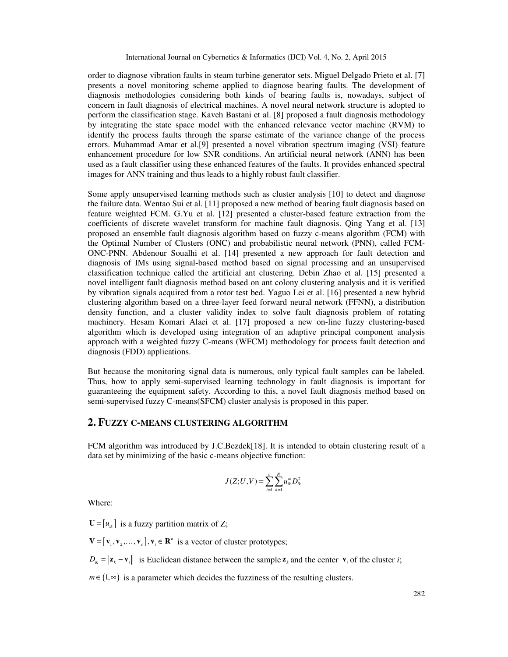order to diagnose vibration faults in steam turbine-generator sets. Miguel Delgado Prieto et al. [7] presents a novel monitoring scheme applied to diagnose bearing faults. The development of diagnosis methodologies considering both kinds of bearing faults is, nowadays, subject of concern in fault diagnosis of electrical machines. A novel neural network structure is adopted to perform the classification stage. Kaveh Bastani et al. [8] proposed a fault diagnosis methodology by integrating the state space model with the enhanced relevance vector machine (RVM) to identify the process faults through the sparse estimate of the variance change of the process errors. Muhammad Amar et al.[9] presented a novel vibration spectrum imaging (VSI) feature enhancement procedure for low SNR conditions. An artificial neural network (ANN) has been used as a fault classifier using these enhanced features of the faults. It provides enhanced spectral images for ANN training and thus leads to a highly robust fault classifier.

Some apply unsupervised learning methods such as cluster analysis [10] to detect and diagnose the failure data. Wentao Sui et al. [11] proposed a new method of bearing fault diagnosis based on feature weighted FCM. G.Yu et al. [12] presented a cluster-based feature extraction from the coefficients of discrete wavelet transform for machine fault diagnosis. Qing Yang et al. [13] proposed an ensemble fault diagnosis algorithm based on fuzzy c-means algorithm (FCM) with the Optimal Number of Clusters (ONC) and probabilistic neural network (PNN), called FCM-ONC-PNN. Abdenour Soualhi et al. [14] presented a new approach for fault detection and diagnosis of IMs using signal-based method based on signal processing and an unsupervised classification technique called the artificial ant clustering. Debin Zhao et al. [15] presented a novel intelligent fault diagnosis method based on ant colony clustering analysis and it is verified by vibration signals acquired from a rotor test bed. Yaguo Lei et al. [16] presented a new hybrid clustering algorithm based on a three-layer feed forward neural network (FFNN), a distribution density function, and a cluster validity index to solve fault diagnosis problem of rotating machinery. Hesam Komari Alaei et al. [17] proposed a new on-line fuzzy clustering-based algorithm which is developed using integration of an adaptive principal component analysis approach with a weighted fuzzy C-means (WFCM) methodology for process fault detection and diagnosis (FDD) applications.

But because the monitoring signal data is numerous, only typical fault samples can be labeled. Thus, how to apply semi-supervised learning technology in fault diagnosis is important for guaranteeing the equipment safety. According to this, a novel fault diagnosis method based on semi-supervised fuzzy C-means(SFCM) cluster analysis is proposed in this paper.

## **2. FUZZY C-MEANS CLUSTERING ALGORITHM**

FCM algorithm was introduced by J.C.Bezdek[18]. It is intended to obtain clustering result of a data set by minimizing of the basic c-means objective function:

$$
J(Z;U,V) = \sum_{i=1}^{c} \sum_{k=1}^{N} u_{ik}^{m} D_{ik}^{2}
$$

Where:

 $U = [u_{ik}]$  is a fuzzy partition matrix of Z;

 $V = [v_1, v_2, \dots, v_c], v_i \in \mathbb{R}^n$  is a vector of cluster prototypes;

 $D_{ik} = \|\mathbf{z}_k - \mathbf{v}_i\|$  is Euclidean distance between the sample  $\mathbf{z}_k$  and the center  $\mathbf{v}_i$  of the cluster *i*;

 $m \in (1, \infty)$  is a parameter which decides the fuzziness of the resulting clusters.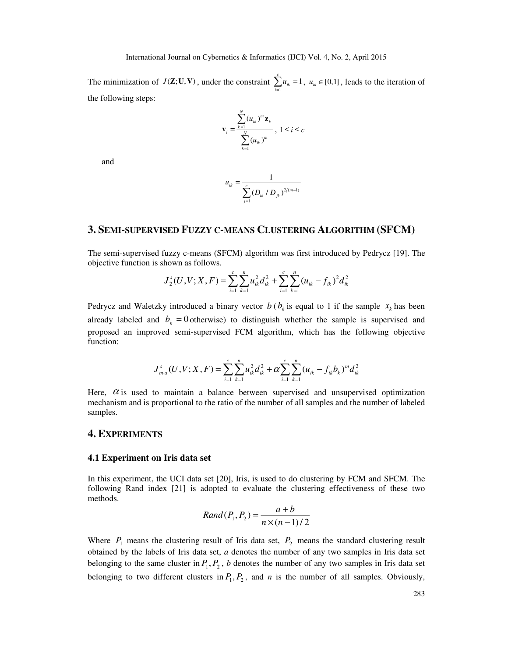The minimization of  $J(\mathbf{Z}; \mathbf{U}, \mathbf{V})$ , under the constraint  $\sum_{i=1}^{c} u_{ik} = 1$  $\sum_{i=1}^{n} u_{ik} = 1$ ,  $u_{ik} \in [0,1]$ , leads to the iteration of the following steps:

$$
\mathbf{v}_{i} = \frac{\sum_{k=1}^{N} (u_{ik})^{m} \mathbf{z}_{k}}{\sum_{k=1}^{N} (u_{ik})^{m}}, 1 \leq i \leq c
$$

and

$$
u_{ik} = \frac{1}{\sum_{j=1}^{c} (D_{ik} / D_{jk})^{2/(m-1)}}
$$

## **3. SEMI-SUPERVISED FUZZY C-MEANS CLUSTERING ALGORITHM (SFCM)**

The semi-supervised fuzzy c-means (SFCM) algorithm was first introduced by Pedrycz [19]. The objective function is shown as follows.

$$
J_2^s(U, V; X, F) = \sum_{i=1}^c \sum_{k=1}^n u_{ik}^2 d_{ik}^2 + \sum_{i=1}^c \sum_{k=1}^n (u_{ik} - f_{ik})^2 d_{ik}^2
$$

Pedrycz and Waletzky introduced a binary vector  $b$  ( $b_k$  is equal to 1 if the sample  $x_k$  has been already labeled and  $b_k = 0$  otherwise) to distinguish whether the sample is supervised and proposed an improved semi-supervised FCM algorithm, which has the following objective function:

$$
J_{m\cdot a}^{s}(U,V;X,F) = \sum_{i=1}^{c} \sum_{k=1}^{n} u_{ik}^{2} d_{ik}^{2} + \alpha \sum_{i=1}^{c} \sum_{k=1}^{n} (u_{ik} - f_{ik}b_{k})^{m} d_{ik}^{2}
$$

Here,  $\alpha$  is used to maintain a balance between supervised and unsupervised optimization mechanism and is proportional to the ratio of the number of all samples and the number of labeled samples.

## **4. EXPERIMENTS**

#### **4.1 Experiment on Iris data set**

In this experiment, the UCI data set [20], Iris, is used to do clustering by FCM and SFCM. The following Rand index [21] is adopted to evaluate the clustering effectiveness of these two methods.

$$
Rand(P_1, P_2) = \frac{a+b}{n \times (n-1)/2}
$$

Where  $P_1$  means the clustering result of Iris data set,  $P_2$  means the standard clustering result obtained by the labels of Iris data set, *a* denotes the number of any two samples in Iris data set belonging to the same cluster in  $P_1, P_2, b$  denotes the number of any two samples in Iris data set belonging to two different clusters in  $P_1, P_2$ , and *n* is the number of all samples. Obviously,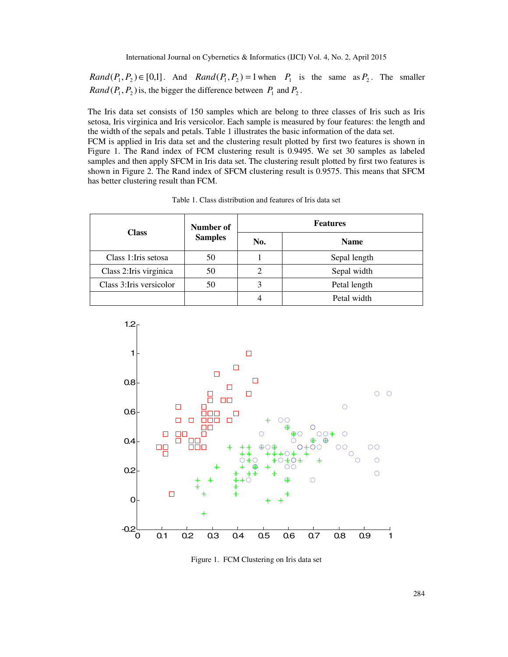$Rand(P_1, P_2) \in [0,1]$ . And  $Rand(P_1, P_2) = 1$  when  $P_1$  is the same as  $P_2$ . The smaller *Rand*  $(P_1, P_2)$  is, the bigger the difference between  $P_1$  and  $P_2$ .

The Iris data set consists of 150 samples which are belong to three classes of Iris such as Iris setosa, Iris virginica and Iris versicolor. Each sample is measured by four features: the length and the width of the sepals and petals. Table 1 illustrates the basic information of the data set.

FCM is applied in Iris data set and the clustering result plotted by first two features is shown in Figure 1. The Rand index of FCM clustering result is 0.9495. We set 30 samples as labeled samples and then apply SFCM in Iris data set. The clustering result plotted by first two features is shown in Figure 2. The Rand index of SFCM clustering result is 0.9575. This means that SFCM has better clustering result than FCM.

| <b>Class</b>             | Number of<br><b>Samples</b> | <b>Features</b> |              |  |  |
|--------------------------|-----------------------------|-----------------|--------------|--|--|
|                          |                             | No.             | <b>Name</b>  |  |  |
| Class 1: Iris setosa     | 50                          |                 | Sepal length |  |  |
| Class 2: Iris virginica  | 50                          | 2               | Sepal width  |  |  |
| Class 3: Iris versicolor | 50                          |                 | Petal length |  |  |
|                          |                             |                 | Petal width  |  |  |

Table 1. Class distribution and features of Iris data set



Figure 1. FCM Clustering on Iris data set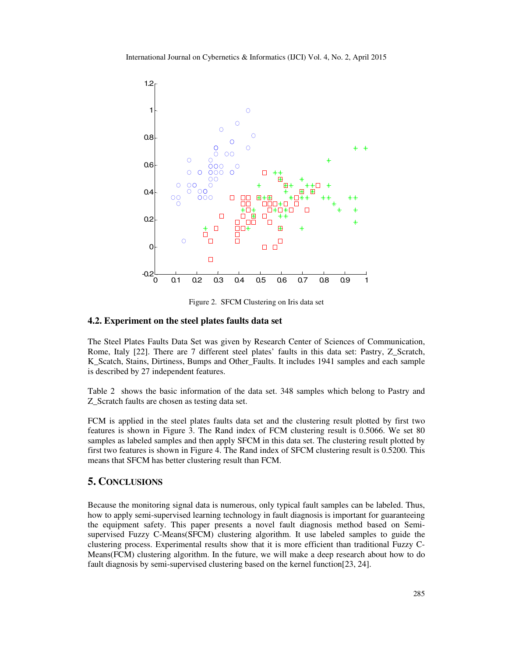

Figure 2. SFCM Clustering on Iris data set

## **4.2. Experiment on the steel plates faults data set**

The Steel Plates Faults Data Set was given by Research Center of Sciences of Communication, Rome, Italy [22]. There are 7 different steel plates' faults in this data set: Pastry, Z\_Scratch, K\_Scatch, Stains, Dirtiness, Bumps and Other\_Faults. It includes 1941 samples and each sample is described by 27 independent features.

Table 2 shows the basic information of the data set. 348 samples which belong to Pastry and Z\_Scratch faults are chosen as testing data set.

FCM is applied in the steel plates faults data set and the clustering result plotted by first two features is shown in Figure 3. The Rand index of FCM clustering result is 0.5066. We set 80 samples as labeled samples and then apply SFCM in this data set. The clustering result plotted by first two features is shown in Figure 4. The Rand index of SFCM clustering result is 0.5200. This means that SFCM has better clustering result than FCM.

## **5. CONCLUSIONS**

Because the monitoring signal data is numerous, only typical fault samples can be labeled. Thus, how to apply semi-supervised learning technology in fault diagnosis is important for guaranteeing the equipment safety. This paper presents a novel fault diagnosis method based on Semisupervised Fuzzy C-Means(SFCM) clustering algorithm. It use labeled samples to guide the clustering process. Experimental results show that it is more efficient than traditional Fuzzy C-Means(FCM) clustering algorithm. In the future, we will make a deep research about how to do fault diagnosis by semi-supervised clustering based on the kernel function[23, 24].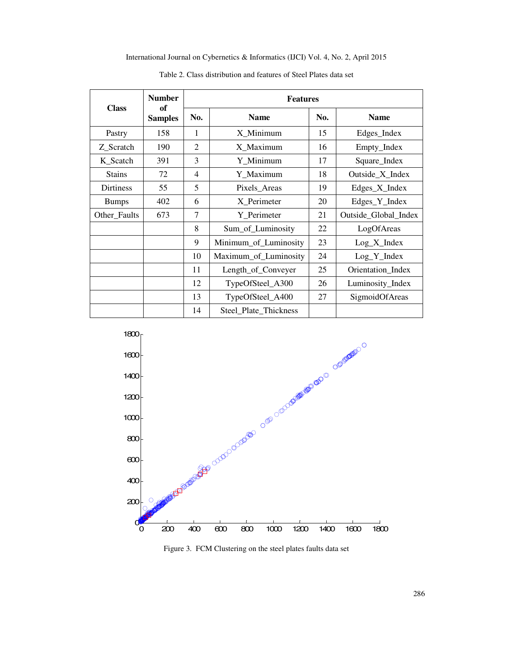International Journal on Cybernetics & Informatics (IJCI) Vol. 4, No. 2, April 2015

|                  | <b>Number</b>           | <b>Features</b> |                       |                      |                   |  |
|------------------|-------------------------|-----------------|-----------------------|----------------------|-------------------|--|
| <b>Class</b>     | of<br><b>Samples</b>    | No.             | <b>Name</b>           | No.                  | <b>Name</b>       |  |
| Pastry           | 158                     | 1               | X Minimum             | 15                   | Edges_Index       |  |
| Z_Scratch        | 190                     | $\overline{c}$  | X_Maximum             | 16                   | Empty_Index       |  |
| K_Scatch         | 391                     | 3               | Y_Minimum             | 17                   | Square_Index      |  |
| <b>Stains</b>    | 72                      | 4               | Y Maximum             | 18                   | Outside_X_Index   |  |
| <b>Dirtiness</b> | 55                      | 5               | Pixels_Areas          | 19                   | Edges_X_Index     |  |
| <b>Bumps</b>     | 402                     | 6               | X Perimeter           | 20                   | Edges_Y_Index     |  |
| Other_Faults     | 7<br>Y Perimeter<br>673 |                 | 21                    | Outside_Global_Index |                   |  |
|                  |                         | 8               | Sum_of_Luminosity     | 22                   | LogOfAreas        |  |
|                  |                         | 9               | Minimum_of_Luminosity | 23                   | $Log_X_$ Index    |  |
|                  |                         | 10              | Maximum_of_Luminosity | 24                   | $Log_Y_Index$     |  |
|                  |                         | 11              | Length_of_Conveyer    | 25                   | Orientation_Index |  |
|                  |                         | 12              | TypeOfSteel_A300      | 26                   | Luminosity_Index  |  |
|                  |                         | 13              | TypeOfSteel_A400      | 27                   | SigmoidOfAreas    |  |
|                  |                         | 14              | Steel_Plate_Thickness |                      |                   |  |

Table 2. Class distribution and features of Steel Plates data set



Figure 3. FCM Clustering on the steel plates faults data set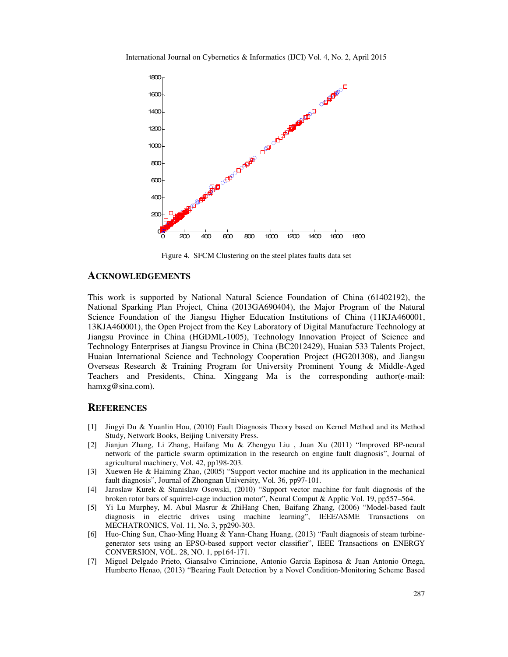

Figure 4. SFCM Clustering on the steel plates faults data set

## **ACKNOWLEDGEMENTS**

This work is supported by National Natural Science Foundation of China (61402192), the National Sparking Plan Project, China (2013GA690404), the Major Program of the Natural Science Foundation of the Jiangsu Higher Education Institutions of China (11KJA460001, 13KJA460001), the Open Project from the Key Laboratory of Digital Manufacture Technology at Jiangsu Province in China (HGDML-1005), Technology Innovation Project of Science and Technology Enterprises at Jiangsu Province in China (BC2012429), Huaian 533 Talents Project, Huaian International Science and Technology Cooperation Project (HG201308), and Jiangsu Overseas Research & Training Program for University Prominent Young & Middle-Aged Teachers and Presidents, China. Xinggang Ma is the corresponding author(e-mail: hamxg@sina.com).

## **REFERENCES**

- [1] Jingyi Du & Yuanlin Hou, (2010) Fault Diagnosis Theory based on Kernel Method and its Method Study, Network Books, Beijing University Press.
- [2] Jianjun Zhang, Li Zhang, Haifang Mu & Zhengyu Liu , Juan Xu (2011) "Improved BP-neural network of the particle swarm optimization in the research on engine fault diagnosis", Journal of agricultural machinery, Vol. 42, pp198-203.
- [3] Xuewen He & Haiming Zhao, (2005) "Support vector machine and its application in the mechanical fault diagnosis", Journal of Zhongnan University, Vol. 36, pp97-101.
- [4] Jaroslaw Kurek & Stanislaw Osowski, (2010) "Support vector machine for fault diagnosis of the broken rotor bars of squirrel-cage induction motor", Neural Comput & Applic Vol. 19, pp557–564.
- [5] Yi Lu Murphey, M. Abul Masrur & ZhiHang Chen, Baifang Zhang, (2006) "Model-based fault diagnosis in electric drives using machine learning", IEEE/ASME Transactions on MECHATRONICS, Vol. 11, No. 3, pp290-303.
- [6] Huo-Ching Sun, Chao-Ming Huang & Yann-Chang Huang, (2013) "Fault diagnosis of steam turbinegenerator sets using an EPSO-based support vector classifier", IEEE Transactions on ENERGY CONVERSION, VOL. 28, NO. 1, pp164-171.
- [7] Miguel Delgado Prieto, Giansalvo Cirrincione, Antonio Garcia Espinosa & Juan Antonio Ortega, Humberto Henao, (2013) "Bearing Fault Detection by a Novel Condition-Monitoring Scheme Based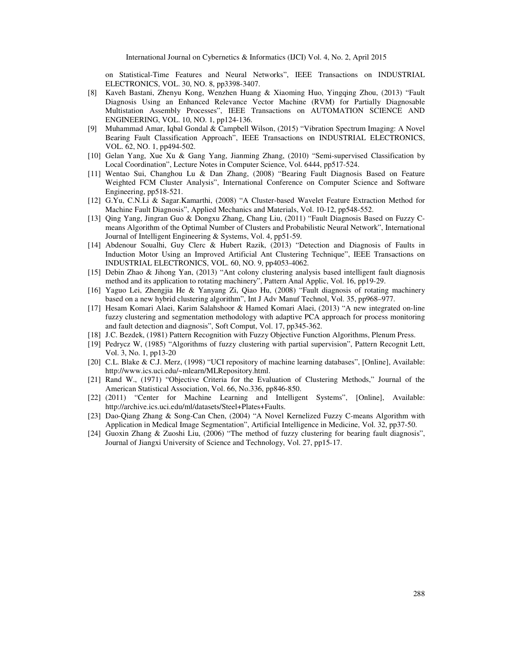on Statistical-Time Features and Neural Networks", IEEE Transactions on INDUSTRIAL ELECTRONICS, VOL. 30, NO. 8, pp3398-3407.

- [8] Kaveh Bastani, Zhenyu Kong, Wenzhen Huang & Xiaoming Huo, Yingqing Zhou, (2013) "Fault Diagnosis Using an Enhanced Relevance Vector Machine (RVM) for Partially Diagnosable Multistation Assembly Processes", IEEE Transactions on AUTOMATION SCIENCE AND ENGINEERING, VOL. 10, NO. 1, pp124-136.
- [9] Muhammad Amar, Iqbal Gondal & Campbell Wilson, (2015) "Vibration Spectrum Imaging: A Novel Bearing Fault Classification Approach", IEEE Transactions on INDUSTRIAL ELECTRONICS, VOL. 62, NO. 1, pp494-502.
- [10] Gelan Yang, Xue Xu & Gang Yang, Jianming Zhang, (2010) "Semi-supervised Classification by Local Coordination", Lecture Notes in Computer Science, Vol. 6444, pp517-524.
- [11] Wentao Sui, Changhou Lu & Dan Zhang, (2008) "Bearing Fault Diagnosis Based on Feature Weighted FCM Cluster Analysis", International Conference on Computer Science and Software Engineering, pp518-521.
- [12] G.Yu, C.N.Li & Sagar.Kamarthi, (2008) "A Cluster-based Wavelet Feature Extraction Method for Machine Fault Diagnosis", Applied Mechanics and Materials, Vol. 10-12, pp548-552.
- [13] Qing Yang, Jingran Guo & Dongxu Zhang, Chang Liu, (2011) "Fault Diagnosis Based on Fuzzy Cmeans Algorithm of the Optimal Number of Clusters and Probabilistic Neural Network", International Journal of Intelligent Engineering & Systems, Vol. 4, pp51-59.
- [14] Abdenour Soualhi, Guy Clerc & Hubert Razik, (2013) "Detection and Diagnosis of Faults in Induction Motor Using an Improved Artificial Ant Clustering Technique", IEEE Transactions on INDUSTRIAL ELECTRONICS, VOL. 60, NO. 9, pp4053-4062.
- [15] Debin Zhao & Jihong Yan, (2013) "Ant colony clustering analysis based intelligent fault diagnosis method and its application to rotating machinery", Pattern Anal Applic, Vol. 16, pp19-29.
- [16] Yaguo Lei, Zhengjia He & Yanyang Zi, Qiao Hu, (2008) "Fault diagnosis of rotating machinery based on a new hybrid clustering algorithm", Int J Adv Manuf Technol, Vol. 35, pp968–977.
- [17] Hesam Komari Alaei, Karim Salahshoor & Hamed Komari Alaei, (2013) "A new integrated on-line fuzzy clustering and segmentation methodology with adaptive PCA approach for process monitoring and fault detection and diagnosis", Soft Comput, Vol. 17, pp345-362.
- [18] J.C. Bezdek, (1981) Pattern Recognition with Fuzzy Objective Function Algorithms, Plenum Press.
- [19] Pedrycz W, (1985) "Algorithms of fuzzy clustering with partial supervision", Pattern Recognit Lett, Vol. 3, No. 1, pp13-20
- [20] C.L. Blake & C.J. Merz, (1998) "UCI repository of machine learning databases", [Online], Available: http://www.ics.uci.edu/~mlearn/MLRepository.html.
- [21] Rand W., (1971) "Objective Criteria for the Evaluation of Clustering Methods," Journal of the American Statistical Association, Vol. 66, No.336, pp846-850.
- [22] (2011) "Center for Machine Learning and Intelligent Systems", [Online], Available: http://archive.ics.uci.edu/ml/datasets/Steel+Plates+Faults.
- [23] Dao-Qiang Zhang & Song-Can Chen, (2004) "A Novel Kernelized Fuzzy C-means Algorithm with Application in Medical Image Segmentation", Artificial Intelligence in Medicine, Vol. 32, pp37-50.
- [24] Guoxin Zhang & Zuoshi Liu, (2006) "The method of fuzzy clustering for bearing fault diagnosis", Journal of Jiangxi University of Science and Technology, Vol. 27, pp15-17.